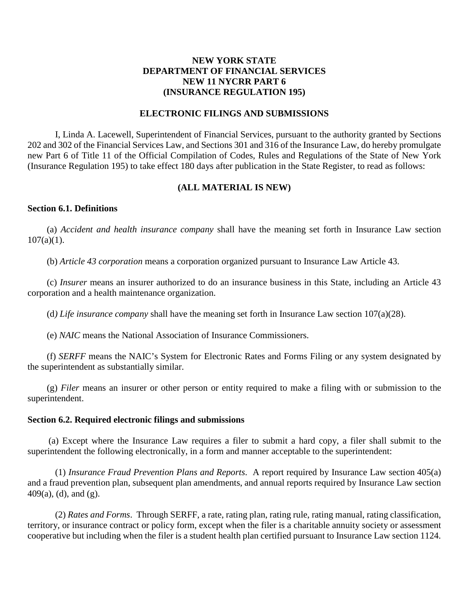## **NEW YORK STATE DEPARTMENT OF FINANCIAL SERVICES NEW 11 NYCRR PART 6 (INSURANCE REGULATION 195)**

### **ELECTRONIC FILINGS AND SUBMISSIONS**

I, Linda A. Lacewell, Superintendent of Financial Services, pursuant to the authority granted by Sections 202 and 302 of the Financial Services Law, and Sections 301 and 316 of the Insurance Law, do hereby promulgate new Part 6 of Title 11 of the Official Compilation of Codes, Rules and Regulations of the State of New York (Insurance Regulation 195) to take effect 180 days after publication in the State Register, to read as follows:

### **(ALL MATERIAL IS NEW)**

#### **Section 6.1. Definitions**

(a) *Accident and health insurance company* shall have the meaning set forth in Insurance Law section  $107(a)(1)$ .

(b) *Article 43 corporation* means a corporation organized pursuant to Insurance Law Article 43.

(c) *Insurer* means an insurer authorized to do an insurance business in this State, including an Article 43 corporation and a health maintenance organization.

(d*) Life insurance company* shall have the meaning set forth in Insurance Law section 107(a)(28).

(e) *NAIC* means the National Association of Insurance Commissioners.

(f) *SERFF* means the NAIC's System for Electronic Rates and Forms Filing or any system designated by the superintendent as substantially similar.

(g) *Filer* means an insurer or other person or entity required to make a filing with or submission to the superintendent.

#### **Section 6.2. Required electronic filings and submissions**

(a) Except where the Insurance Law requires a filer to submit a hard copy, a filer shall submit to the superintendent the following electronically, in a form and manner acceptable to the superintendent:

(1) *Insurance Fraud Prevention Plans and Reports*. A report required by Insurance Law section 405(a) and a fraud prevention plan, subsequent plan amendments, and annual reports required by Insurance Law section 409(a), (d), and (g).

(2) *Rates and Forms*. Through SERFF, a rate, rating plan, rating rule, rating manual, rating classification, territory, or insurance contract or policy form, except when the filer is a charitable annuity society or assessment cooperative but including when the filer is a student health plan certified pursuant to Insurance Law section 1124.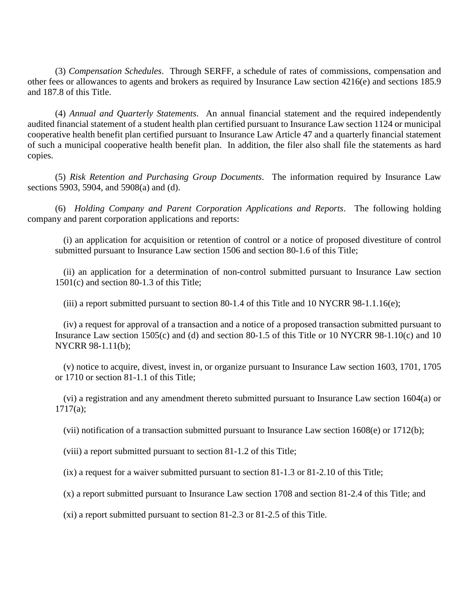(3) *Compensation Schedules*. Through SERFF, a schedule of rates of commissions, compensation and other fees or allowances to agents and brokers as required by Insurance Law section 4216(e) and sections 185.9 and 187.8 of this Title.

(4) *Annual and Quarterly Statements*. An annual financial statement and the required independently audited financial statement of a student health plan certified pursuant to Insurance Law section 1124 or municipal cooperative health benefit plan certified pursuant to Insurance Law Article 47 and a quarterly financial statement of such a municipal cooperative health benefit plan. In addition, the filer also shall file the statements as hard copies.

(5) *Risk Retention and Purchasing Group Documents*. The information required by Insurance Law sections 5903, 5904, and 5908(a) and (d).

(6) *Holding Company and Parent Corporation Applications and Reports*. The following holding company and parent corporation applications and reports:

(i) an application for acquisition or retention of control or a notice of proposed divestiture of control submitted pursuant to Insurance Law section 1506 and section 80-1.6 of this Title;

(ii) an application for a determination of non-control submitted pursuant to Insurance Law section 1501(c) and section 80-1.3 of this Title;

(iii) a report submitted pursuant to section 80-1.4 of this Title and 10 NYCRR 98-1.1.16(e);

(iv) a request for approval of a transaction and a notice of a proposed transaction submitted pursuant to Insurance Law section 1505(c) and (d) and section 80-1.5 of this Title or 10 NYCRR 98-1.10(c) and 10 NYCRR 98-1.11(b);

(v) notice to acquire, divest, invest in, or organize pursuant to Insurance Law section 1603, 1701, 1705 or 1710 or section 81-1.1 of this Title;

(vi) a registration and any amendment thereto submitted pursuant to Insurance Law section 1604(a) or  $1717(a)$ ;

(vii) notification of a transaction submitted pursuant to Insurance Law section 1608(e) or 1712(b);

(viii) a report submitted pursuant to section 81-1.2 of this Title;

(ix) a request for a waiver submitted pursuant to section 81-1.3 or 81-2.10 of this Title;

(x) a report submitted pursuant to Insurance Law section 1708 and section 81-2.4 of this Title; and

(xi) a report submitted pursuant to section 81-2.3 or 81-2.5 of this Title.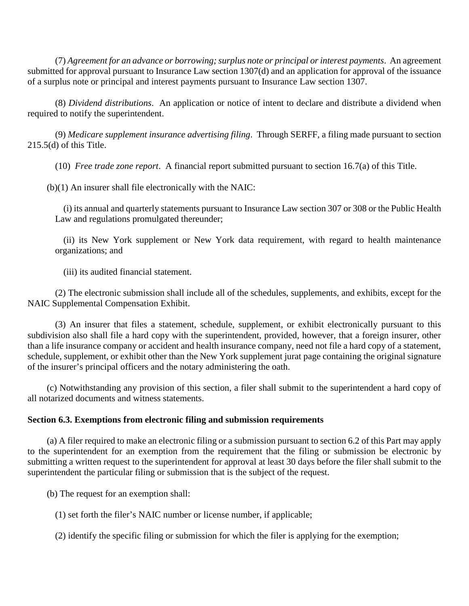(7) *Agreement for an advance or borrowing; surplus note or principal or interest payments*. An agreement submitted for approval pursuant to Insurance Law section 1307(d) and an application for approval of the issuance of a surplus note or principal and interest payments pursuant to Insurance Law section 1307.

(8) *Dividend distributions*. An application or notice of intent to declare and distribute a dividend when required to notify the superintendent.

(9) *Medicare supplement insurance advertising filing*. Through SERFF, a filing made pursuant to section 215.5(d) of this Title.

(10) *Free trade zone report*. A financial report submitted pursuant to section 16.7(a) of this Title.

(b)(1) An insurer shall file electronically with the NAIC:

(i) its annual and quarterly statements pursuant to Insurance Law section 307 or 308 or the Public Health Law and regulations promulgated thereunder;

(ii) its New York supplement or New York data requirement, with regard to health maintenance organizations; and

(iii) its audited financial statement.

(2) The electronic submission shall include all of the schedules, supplements, and exhibits, except for the NAIC Supplemental Compensation Exhibit.

(3) An insurer that files a statement, schedule, supplement, or exhibit electronically pursuant to this subdivision also shall file a hard copy with the superintendent, provided, however, that a foreign insurer, other than a life insurance company or accident and health insurance company, need not file a hard copy of a statement, schedule, supplement, or exhibit other than the New York supplement jurat page containing the original signature of the insurer's principal officers and the notary administering the oath.

(c) Notwithstanding any provision of this section, a filer shall submit to the superintendent a hard copy of all notarized documents and witness statements.

# **Section 6.3. Exemptions from electronic filing and submission requirements**

(a) A filer required to make an electronic filing or a submission pursuant to section 6.2 of this Part may apply to the superintendent for an exemption from the requirement that the filing or submission be electronic by submitting a written request to the superintendent for approval at least 30 days before the filer shall submit to the superintendent the particular filing or submission that is the subject of the request.

(b) The request for an exemption shall:

(1) set forth the filer's NAIC number or license number, if applicable;

(2) identify the specific filing or submission for which the filer is applying for the exemption;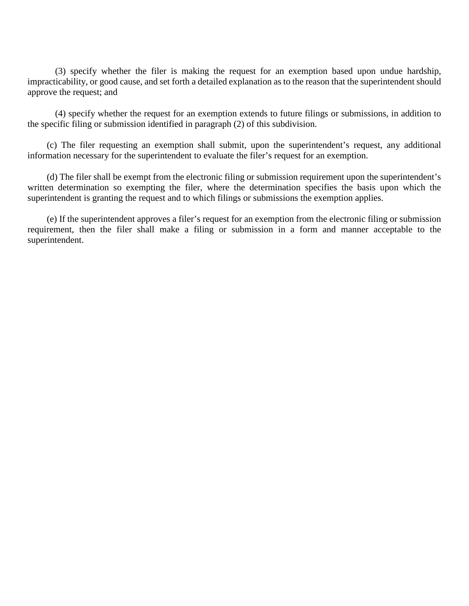(3) specify whether the filer is making the request for an exemption based upon undue hardship, impracticability, or good cause, and set forth a detailed explanation as to the reason that the superintendent should approve the request; and

(4) specify whether the request for an exemption extends to future filings or submissions, in addition to the specific filing or submission identified in paragraph (2) of this subdivision.

(c) The filer requesting an exemption shall submit, upon the superintendent's request, any additional information necessary for the superintendent to evaluate the filer's request for an exemption.

(d) The filer shall be exempt from the electronic filing or submission requirement upon the superintendent's written determination so exempting the filer, where the determination specifies the basis upon which the superintendent is granting the request and to which filings or submissions the exemption applies.

(e) If the superintendent approves a filer's request for an exemption from the electronic filing or submission requirement, then the filer shall make a filing or submission in a form and manner acceptable to the superintendent.